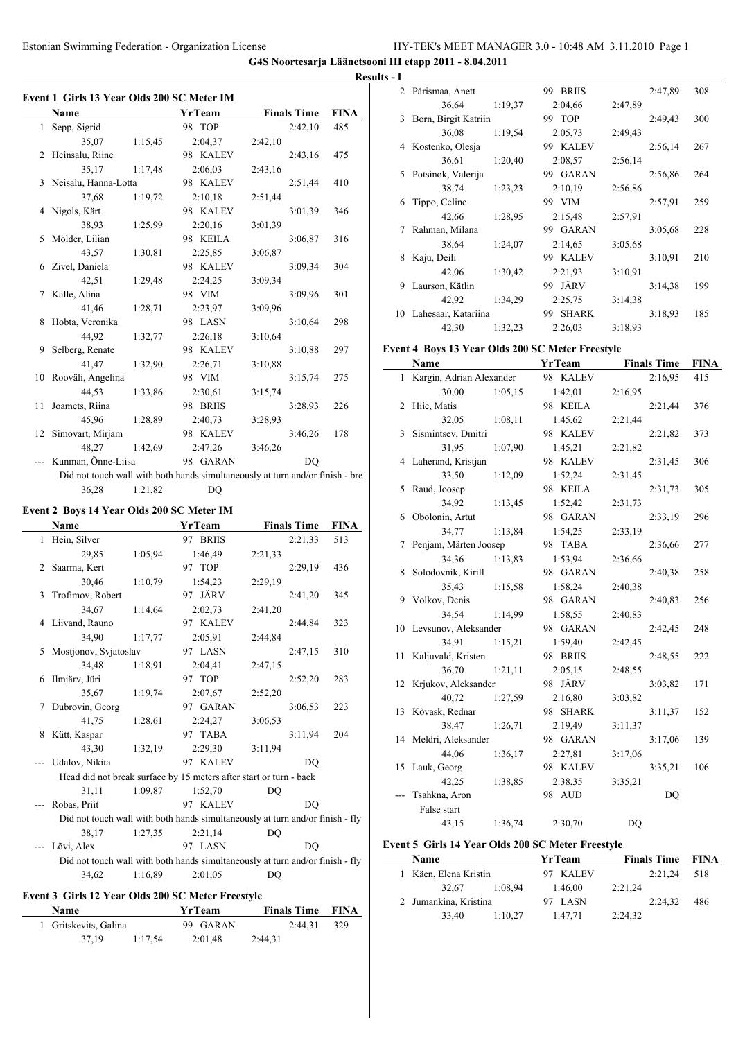|  |  | Event 1 Girls 13 Year Olds 200 SC Meter IM |  |
|--|--|--------------------------------------------|--|

|    | vent 1 Girls 13 Year Olds 200 SC Meter IM |         |           |                                                                               |             |  |  |  |
|----|-------------------------------------------|---------|-----------|-------------------------------------------------------------------------------|-------------|--|--|--|
|    | Name                                      |         | YrTeam    | <b>Finals Time</b>                                                            | <b>FINA</b> |  |  |  |
|    | 1 Sepp, Sigrid                            |         | 98 TOP    | 2:42,10                                                                       | 485         |  |  |  |
|    | 35.07                                     | 1:15,45 | 2:04,37   | 2:42,10                                                                       |             |  |  |  |
|    | 2 Heinsalu, Riine                         |         | 98 KALEV  | 2:43,16                                                                       | 475         |  |  |  |
|    | 35,17                                     | 1:17,48 | 2:06,03   | 2:43,16                                                                       |             |  |  |  |
|    | 3 Neisalu, Hanna-Lotta                    |         | 98 KALEV  | 2:51,44                                                                       | 410         |  |  |  |
|    | 37,68                                     | 1:19,72 | 2:10,18   | 2:51,44                                                                       |             |  |  |  |
|    | 4 Nigols, Kärt                            |         | 98 KALEV  | 3:01,39                                                                       | 346         |  |  |  |
|    | 38.93                                     | 1:25,99 | 2:20,16   | 3:01,39                                                                       |             |  |  |  |
|    | 5 Mölder, Lilian                          |         | 98 KEILA  | 3:06,87                                                                       | 316         |  |  |  |
|    | 43,57                                     | 1:30,81 | 2:25,85   | 3:06,87                                                                       |             |  |  |  |
|    | 6 Zivel, Daniela                          |         | 98 KALEV  | 3:09.34                                                                       | 304         |  |  |  |
|    | 42.51                                     | 1:29,48 | 2:24,25   | 3:09,34                                                                       |             |  |  |  |
|    | 7 Kalle, Alina                            |         | 98 VIM    | 3:09.96                                                                       | 301         |  |  |  |
|    | 41,46                                     | 1:28,71 | 2:23,97   | 3:09,96                                                                       |             |  |  |  |
|    | 8 Hobta, Veronika                         |         | 98 LASN   | 3:10,64                                                                       | 298         |  |  |  |
|    | 44,92                                     | 1:32,77 | 2:26,18   | 3:10,64                                                                       |             |  |  |  |
| 9  | Selberg, Renate                           |         | 98 KALEV  | 3:10,88                                                                       | 297         |  |  |  |
|    | 41,47                                     | 1:32,90 | 2:26,71   | 3:10.88                                                                       |             |  |  |  |
|    | 10 Rooväli, Angelina                      |         | 98 VIM    | 3:15,74                                                                       | 275         |  |  |  |
|    | 44,53                                     | 1:33.86 | 2:30,61   | 3:15,74                                                                       |             |  |  |  |
| 11 | Joamets, Riina                            |         | 98 BRIIS  | 3:28,93                                                                       | 226         |  |  |  |
|    | 45,96                                     | 1:28,89 | 2:40,73   | 3:28,93                                                                       |             |  |  |  |
|    | 12 Simovart, Mirjam                       |         | 98 KALEV  | 3:46,26                                                                       | 178         |  |  |  |
|    | 48.27                                     | 1:42,69 | 2:47,26   | 3:46,26                                                                       |             |  |  |  |
|    | Kunman, Õnne-Liisa                        |         | 98 GARAN  | D <sub>O</sub>                                                                |             |  |  |  |
|    |                                           |         |           | Did not touch wall with both hands simultaneously at turn and/or finish - bre |             |  |  |  |
|    | 36,28                                     | 1:21,82 | <b>DQ</b> |                                                                               |             |  |  |  |
|    |                                           |         |           |                                                                               |             |  |  |  |

# **Event 2 Boys 14 Year Olds 200 SC Meter IM**

|   | Name                  |         | YrTeam                                                             | <b>Finals Time</b>                                                            | <b>FINA</b> |
|---|-----------------------|---------|--------------------------------------------------------------------|-------------------------------------------------------------------------------|-------------|
| 1 | Hein, Silver          |         | 97 BRIIS                                                           | 2:21,33                                                                       | 513         |
|   | 29,85                 | 1:05,94 | 1:46,49                                                            | 2:21,33                                                                       |             |
| 2 | Saarma, Kert          |         | 97 TOP                                                             | 2:29,19                                                                       | 436         |
|   | 30,46                 | 1:10,79 | 1:54,23                                                            | 2:29,19                                                                       |             |
| 3 | Trofimov, Robert      |         | 97 JÄRV                                                            | 2:41,20                                                                       | 345         |
|   | 34,67                 | 1:14,64 | 2:02,73                                                            | 2:41,20                                                                       |             |
| 4 | Liivand, Rauno        |         | 97 KALEV                                                           | 2:44,84                                                                       | 323         |
|   | 34.90                 | 1:17,77 | 2:05,91                                                            | 2:44,84                                                                       |             |
| 5 | Mostjonov, Svjatoslav |         | 97 LASN                                                            | 2:47,15                                                                       | 310         |
|   | 34,48                 | 1:18.91 | 2:04,41                                                            | 2:47,15                                                                       |             |
| 6 | Ilmjärv, Jüri         |         | 97 TOP                                                             | 2:52,20                                                                       | 283         |
|   | 35,67                 | 1:19,74 | 2:07.67                                                            | 2:52,20                                                                       |             |
| 7 | Dubrovin, Georg       |         | 97 GARAN                                                           | 3:06,53                                                                       | 223         |
|   | 41,75                 | 1:28,61 | 2:24,27                                                            | 3:06,53                                                                       |             |
| 8 | Kütt, Kaspar          |         | 97 TABA                                                            | 3:11,94                                                                       | 204         |
|   | 43,30                 | 1:32,19 | 2:29,30                                                            | 3:11,94                                                                       |             |
|   | Udalov, Nikita        |         | 97 KALEV                                                           | D <sub>O</sub>                                                                |             |
|   |                       |         | Head did not break surface by 15 meters after start or turn - back |                                                                               |             |
|   | 31,11                 | 1:09,87 | 1:52.70                                                            | DO                                                                            |             |
|   | Robas, Priit          |         | 97 KALEV                                                           | DO                                                                            |             |
|   |                       |         |                                                                    | Did not touch wall with both hands simultaneously at turn and/or finish - fly |             |
|   | 38.17                 | 1:27,35 | 2:21,14                                                            | <b>DQ</b>                                                                     |             |
|   | Lõvi, Alex            |         | 97 LASN                                                            | DO                                                                            |             |
|   |                       |         |                                                                    | Did not touch wall with both hands simultaneously at turn and/or finish - fly |             |
|   | 34,62                 | 1:16,89 | 2:01,05                                                            | DQ                                                                            |             |
|   |                       |         |                                                                    |                                                                               |             |

# **Event 3 Girls 12 Year Olds 200 SC Meter Freestyle**

| Name |                       |         | <b>YrTeam</b> |         | <b>Finals Time FINA</b> |     |  |
|------|-----------------------|---------|---------------|---------|-------------------------|-----|--|
|      | 1 Gritskevits, Galina |         | 99 GARAN      |         | 2:44.31                 | 329 |  |
|      | 37.19                 | 1:17.54 | 2:01.48       | 2:44.31 |                         |     |  |

| 2  | Pärismaa, Anett      |         | <b>BRIIS</b><br>99 |         | 2:47,89 | 308 |
|----|----------------------|---------|--------------------|---------|---------|-----|
|    | 36,64                | 1:19,37 | 2:04.66            | 2:47,89 |         |     |
| 3  | Born, Birgit Katriin |         | 99 TOP             |         | 2:49,43 | 300 |
|    | 36,08                | 1:19,54 | 2:05,73            | 2:49.43 |         |     |
| 4  | Kostenko, Olesja     |         | 99 KALEV           |         | 2:56,14 | 267 |
|    | 36,61                | 1:20,40 | 2:08,57            | 2:56,14 |         |     |
| 5  | Potsinok, Valerija   |         | 99 GARAN           |         | 2:56,86 | 264 |
|    | 38,74                | 1:23,23 | 2:10,19            | 2:56,86 |         |     |
| 6  | Tippo, Celine        |         | 99 VIM             |         | 2:57,91 | 259 |
|    | 42,66                | 1:28,95 | 2:15,48            | 2:57.91 |         |     |
| 7  | Rahman, Milana       |         | 99 GARAN           |         | 3:05,68 | 228 |
|    | 38,64                | 1:24,07 | 2:14,65            | 3:05.68 |         |     |
| 8  | Kaju, Deili          |         | KALEV<br>99.       |         | 3:10.91 | 210 |
|    | 42,06                | 1:30,42 | 2:21.93            | 3:10.91 |         |     |
| 9  | Laurson, Kätlin      |         | JÄRV<br>99         |         | 3:14,38 | 199 |
|    | 42,92                | 1:34,29 | 2:25,75            | 3:14,38 |         |     |
| 10 | Lahesaar, Katariina  |         | <b>SHARK</b><br>99 |         | 3:18.93 | 185 |
|    | 42,30                | 1:32,23 | 2:26,03            | 3:18,93 |         |     |

## **Event 4 Boys 13 Year Olds 200 SC Meter Freestyle**

|     | Name                       |         | <b>YrTeam</b> |         | <b>Finals Time</b> | <b>FINA</b> |
|-----|----------------------------|---------|---------------|---------|--------------------|-------------|
|     | 1 Kargin, Adrian Alexander |         | 98 KALEV      |         | 2:16,95            | 415         |
|     | 30,00                      | 1:05,15 | 1:42,01       | 2:16,95 |                    |             |
|     | 2 Hiie, Matis              |         | 98 KEILA      |         | 2:21,44            | 376         |
|     | 32,05                      | 1:08,11 | 1:45,62       | 2:21,44 |                    |             |
|     | 3 Sismintsev, Dmitri       |         | 98 KALEV      |         | 2:21,82            | 373         |
|     | 31,95                      | 1:07,90 | 1:45,21       | 2:21,82 |                    |             |
|     | 4 Laherand, Kristjan       |         | 98 KALEV      |         | 2:31,45            | 306         |
|     | 33,50                      | 1:12,09 | 1:52,24       | 2:31,45 |                    |             |
|     | 5 Raud, Joosep             |         | 98 KEILA      |         | 2:31,73            | 305         |
|     | 34.92                      | 1:13.45 | 1:52,42       | 2:31,73 |                    |             |
| 6   | Obolonin, Artut            |         | 98 GARAN      |         | 2:33,19            | 296         |
|     | 34,77                      | 1:13,84 | 1:54,25       | 2:33,19 |                    |             |
| 7   | Penjam, Märten Joosep      |         | 98 TABA       |         | 2:36,66            | 277         |
|     | 34,36                      | 1:13,83 | 1:53,94       | 2:36,66 |                    |             |
|     | 8 Solodovnik, Kirill       |         | 98 GARAN      |         | 2:40,38            | 258         |
|     | 35,43                      | 1:15,58 | 1:58,24       | 2:40,38 |                    |             |
|     | 9 Volkov, Denis            |         | 98 GARAN      |         | 2:40,83            | 256         |
|     | 34,54                      | 1:14,99 | 1:58,55       | 2:40,83 |                    |             |
|     | 10 Levsunov, Aleksander    |         | 98 GARAN      |         | 2:42,45            | 248         |
|     | 34,91                      | 1:15,21 | 1:59,40       | 2:42,45 |                    |             |
| 11  | Kaljuvald, Kristen         |         | 98 BRIIS      |         | 2:48,55            | 222         |
|     | 36,70                      | 1:21,11 | 2:05,15       | 2:48,55 |                    |             |
|     | 12 Krjukov, Aleksander     |         | 98 JÄRV       |         | 3:03,82            | 171         |
|     | 40,72                      | 1:27,59 | 2:16,80       | 3:03,82 |                    |             |
|     | 13 Kõvask, Rednar          |         | 98 SHARK      |         | 3:11,37            | 152         |
|     | 38,47                      | 1:26,71 | 2:19,49       | 3:11,37 |                    |             |
|     | 14 Meldri, Aleksander      |         | 98 GARAN      |         | 3:17,06            | 139         |
|     | 44,06                      | 1:36,17 | 2:27,81       | 3:17,06 |                    |             |
|     | 15 Lauk, Georg             |         | 98 KALEV      |         | 3:35,21            | 106         |
|     | 42,25                      | 1:38,85 | 2:38,35       | 3:35,21 |                    |             |
| --- | Tsahkna, Aron              |         | 98 AUD        |         | DQ                 |             |
|     | False start                |         |               |         |                    |             |
|     | 43,15                      | 1:36,74 | 2:30,70       | DQ      |                    |             |

# **Event 5 Girls 14 Year Olds 200 SC Meter Freestyle**

|  | <b>Name</b>           |         | YrTeam   |         | <b>Finals Time FINA</b> |     |  |
|--|-----------------------|---------|----------|---------|-------------------------|-----|--|
|  | 1 Käen, Elena Kristin |         | 97 KALEV |         | 2:21.24                 | 518 |  |
|  | 32.67                 | 1:08.94 | 1:46.00  | 2:21,24 |                         |     |  |
|  | 2 Jumankina, Kristina |         | 97 LASN  |         | 2:24.32                 | 486 |  |
|  | 33,40                 | 1:10,27 | 1:47.71  | 2:24,32 |                         |     |  |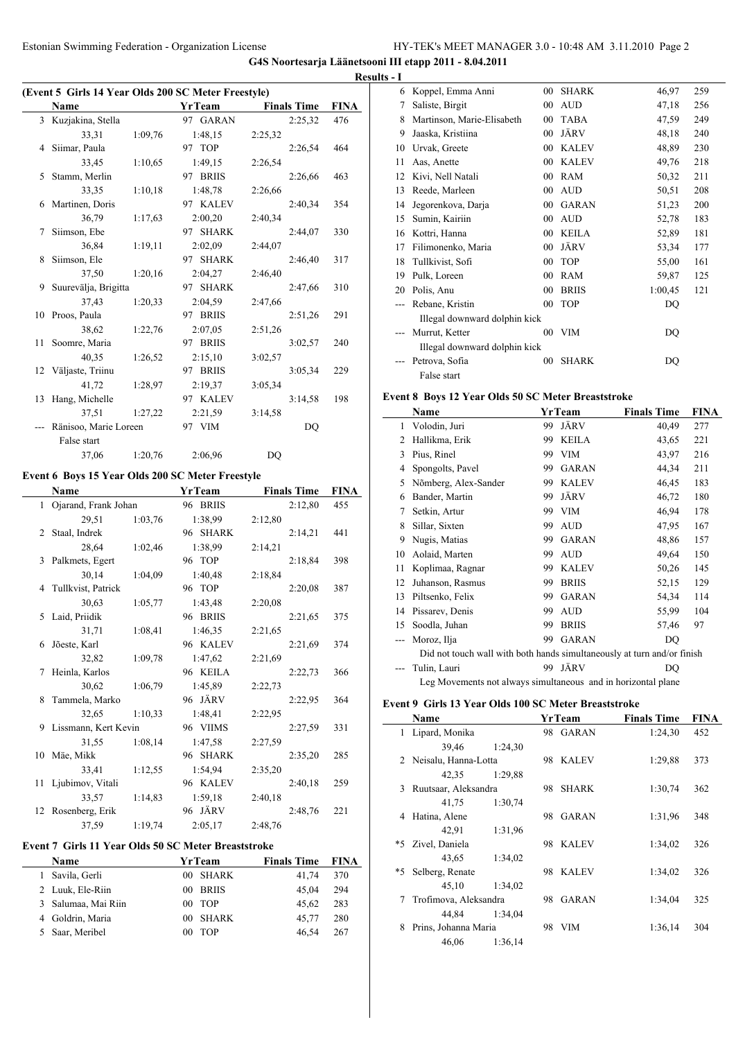**G4S Noortesarja Läänetsooni III etapp 2011 - 8.04.2011**

 $\overline{\phantom{0}}$ 

 $\overline{\phantom{a}}$ 

# **(Event 5 Girls 14 Year Olds 200 SC Meter Freestyle)**

|      | EVEIN 3 THIS IN I CAL ORIS 200 SC METEL PICESTYIE) |         |          |                    |             |
|------|----------------------------------------------------|---------|----------|--------------------|-------------|
|      | Name                                               |         | YrTeam   | <b>Finals Time</b> | <b>FINA</b> |
|      | 3 Kuzjakina, Stella                                |         | 97 GARAN | 2:25,32            | 476         |
|      | 33,31                                              | 1:09,76 | 1:48,15  | 2:25,32            |             |
|      | 4 Siimar, Paula                                    |         | 97 TOP   | 2:26,54            | 464         |
|      | 33.45                                              | 1:10,65 | 1:49.15  | 2:26,54            |             |
| 5    | Stamm, Merlin                                      |         | 97 BRIIS | 2:26,66            | 463         |
|      | 33,35                                              | 1:10.18 | 1:48,78  | 2:26,66            |             |
|      | 6 Martinen, Doris                                  |         | 97 KALEV | 2:40,34            | 354         |
|      | 36,79                                              | 1:17,63 | 2:00,20  | 2:40,34            |             |
| 7    | Siimson, Ebe                                       |         | 97 SHARK | 2:44,07            | 330         |
|      | 36.84                                              | 1:19,11 | 2:02.09  | 2:44,07            |             |
| 8    | Siimson, Ele                                       |         | 97 SHARK | 2:46,40            | 317         |
|      | 37,50                                              | 1:20,16 | 2:04,27  | 2:46,40            |             |
| 9    | Suurevälja, Brigitta                               |         | 97 SHARK | 2:47,66            | 310         |
|      | 37,43                                              | 1:20,33 | 2:04.59  | 2:47,66            |             |
| 10   | Proos, Paula                                       |         | 97 BRIIS | 2:51,26            | 291         |
|      | 38,62                                              | 1:22,76 | 2:07.05  | 2:51,26            |             |
| 11 - | Soomre, Maria                                      |         | 97 BRIIS | 3:02,57            | 240         |
|      | 40,35                                              | 1:26,52 | 2:15,10  | 3:02.57            |             |
| 12   | Väljaste, Triinu                                   |         | 97 BRIIS | 3:05.34            | 229         |
|      | 41,72                                              | 1:28.97 | 2:19.37  | 3:05.34            |             |
| 13   | Hang, Michelle                                     |         | 97 KALEV | 3:14,58            | 198         |
|      | 37.51                                              | 1:27,22 | 2:21.59  | 3:14,58            |             |
|      | Ränisoo, Marie Loreen                              |         | 97 VIM   | DQ                 |             |
|      | False start                                        |         |          |                    |             |
|      | 37,06                                              | 1:20.76 | 2:06,96  | DQ                 |             |
|      |                                                    |         |          |                    |             |

## **Event 6 Boys 15 Year Olds 200 SC Meter Freestyle**

|    | Name                   |         | YrTeam   | <b>Finals Time</b> | FINA |
|----|------------------------|---------|----------|--------------------|------|
|    | 1 Ojarand, Frank Johan |         | 96 BRIIS | 2:12,80            | 455  |
|    | 29.51                  | 1:03,76 | 1:38,99  | 2:12,80            |      |
| 2  | Staal, Indrek          |         | 96 SHARK | 2:14.21            | 441  |
|    | 28,64                  | 1:02,46 | 1:38,99  | 2:14,21            |      |
|    | 3 Palkmets, Egert      |         | 96 TOP   | 2:18.84            | 398  |
|    | 30,14                  | 1:04,09 | 1:40,48  | 2:18,84            |      |
|    | 4 Tullkvist, Patrick   |         | 96 TOP   | 2:20,08            | 387  |
|    | 30,63                  | 1:05.77 | 1:43,48  | 2:20,08            |      |
|    | 5 Laid, Priidik        |         | 96 BRIIS | 2:21,65            | 375  |
|    | 31,71                  | 1:08,41 | 1:46,35  | 2:21,65            |      |
| 6. | Jõeste, Karl           |         | 96 KALEV | 2:21,69            | 374  |
|    | 32,82                  | 1:09.78 | 1:47,62  | 2:21,69            |      |
| 7  | Heinla, Karlos         |         | 96 KEILA | 2:22,73            | 366  |
|    | 30,62                  | 1:06.79 | 1:45,89  | 2:22,73            |      |
|    | 8 Tammela, Marko       |         | 96 JÄRV  | 2:22,95            | 364  |
|    | 32,65                  | 1:10.33 | 1:48,41  | 2:22,95            |      |
|    | 9 Lissmann, Kert Kevin |         | 96 VIIMS | 2:27,59            | 331  |
|    | 31,55                  | 1:08.14 | 1:47,58  | 2:27,59            |      |
| 10 | Mäe, Mikk              |         | 96 SHARK | 2:35,20            | 285  |
|    | 33,41                  | 1:12,55 | 1:54,94  | 2:35,20            |      |
| 11 | Ljubimov, Vitali       |         | 96 KALEV | 2:40,18            | 259  |
|    | 33,57                  | 1:14,83 | 1:59,18  | 2:40,18            |      |
|    | 12 Rosenberg, Erik     |         | 96 JÄRV  | 2:48,76            | 221  |
|    | 37,59                  | 1:19,74 | 2:05,17  | 2:48,76            |      |

## **Event 7 Girls 11 Year Olds 50 SC Meter Breaststroke**

|    | Name                | YrTeam   | <b>Finals Time</b> | <b>FINA</b> |  |
|----|---------------------|----------|--------------------|-------------|--|
| 1. | Savila, Gerli       | 00 SHARK | 41.74              | 370         |  |
|    | 2 Luuk, Ele-Riin    | 00 BRIIS | 45.04              | 294         |  |
|    | 3 Salumaa, Mai Riin | $00$ TOP | 45.62              | 283         |  |
|    | 4 Goldrin, Maria    | 00 SHARK | 45.77              | 280         |  |
|    | 5 Saar, Meribel     | $00$ TOP | 46.54              | 267         |  |

|   | <b>Results - I</b> |                               |                 |              |         |     |
|---|--------------------|-------------------------------|-----------------|--------------|---------|-----|
|   | 6                  | Koppel, Emma Anni             | 00              | <b>SHARK</b> | 46,97   | 259 |
| Ą | 7                  | Saliste, Birgit               | 00              | <b>AUD</b>   | 47,18   | 256 |
|   | 8                  | Martinson, Marie-Elisabeth    | 00              | <b>TABA</b>  | 47,59   | 249 |
|   | 9                  | Jaaska, Kristiina             | 00              | JÄRV         | 48,18   | 240 |
|   | 10                 | Urvak, Greete                 | 00              | <b>KALEV</b> | 48,89   | 230 |
|   | 11                 | Aas, Anette                   | 00              | <b>KALEV</b> | 49,76   | 218 |
|   | 12                 | Kivi, Nell Natali             | 00              | <b>RAM</b>   | 50,32   | 211 |
|   | 13                 | Reede, Marleen                | 00              | <b>AUD</b>   | 50,51   | 208 |
|   | 14                 | Jegorenkova, Darja            | 00              | <b>GARAN</b> | 51,23   | 200 |
|   | 15                 | Sumin, Kairiin                | 00              | <b>AUD</b>   | 52,78   | 183 |
|   | 16                 | Kottri, Hanna                 | 00              | <b>KEILA</b> | 52,89   | 181 |
|   | 17                 | Filimonenko, Maria            | 00              | JÄRV         | 53,34   | 177 |
|   | 18                 | Tullkivist, Sofi              | 00              | <b>TOP</b>   | 55,00   | 161 |
|   | 19                 | Pulk, Loreen                  | 00              | <b>RAM</b>   | 59,87   | 125 |
|   | 20                 | Polis, Anu                    | 00              | <b>BRIIS</b> | 1:00,45 | 121 |
|   |                    | Rebane, Kristin               | 0 <sup>0</sup>  | <b>TOP</b>   | DQ      |     |
|   |                    | Illegal downward dolphin kick |                 |              |         |     |
|   |                    | Murrut, Ketter                | 00 <sup>2</sup> | <b>VIM</b>   | DQ      |     |
|   |                    | Illegal downward dolphin kick |                 |              |         |     |
|   |                    | Petrova, Sofia                | 0 <sub>0</sub>  | <b>SHARK</b> | DQ      |     |
|   |                    | False start                   |                 |              |         |     |

# **Event 8 Boys 12 Year Olds 50 SC Meter Breaststroke**

|                | Name                                                                    |    | YrTeam       | <b>Finals Time</b> | <b>FINA</b> |
|----------------|-------------------------------------------------------------------------|----|--------------|--------------------|-------------|
| 1              | Volodin, Juri                                                           | 99 | JÄRV         | 40,49              | 277         |
| $\overline{c}$ | Hallikma, Erik                                                          | 99 | <b>KEILA</b> | 43,65              | 221         |
| 3              | Pius, Rinel                                                             | 99 | <b>VIM</b>   | 43,97              | 216         |
| 4              | Spongolts, Pavel                                                        | 99 | <b>GARAN</b> | 44,34              | 211         |
| 5              | Nõmberg, Alex-Sander                                                    | 99 | <b>KALEV</b> | 46,45              | 183         |
| 6              | Bander, Martin                                                          | 99 | JÄRV         | 46,72              | 180         |
| 7              | Setkin, Artur                                                           | 99 | <b>VIM</b>   | 46,94              | 178         |
| 8              | Sillar, Sixten                                                          | 99 | <b>AUD</b>   | 47,95              | 167         |
| 9              | Nugis, Matias                                                           | 99 | <b>GARAN</b> | 48,86              | 157         |
| 10             | Aolaid, Marten                                                          | 99 | <b>AUD</b>   | 49,64              | 150         |
| 11             | Koplimaa, Ragnar                                                        | 99 | <b>KALEV</b> | 50,26              | 145         |
| 12             | Juhanson, Rasmus                                                        | 99 | <b>BRIIS</b> | 52,15              | 129         |
| 13             | Piltsenko, Felix                                                        | 99 | <b>GARAN</b> | 54,34              | 114         |
| 14             | Pissarev, Denis                                                         | 99 | <b>AUD</b>   | 55,99              | 104         |
| 15             | Soodla, Juhan                                                           | 99 | <b>BRIIS</b> | 57,46              | 97          |
|                | Moroz, Ilja                                                             | 99 | <b>GARAN</b> | DQ                 |             |
|                | Did not touch wall with both hands simultaneously at turn and/or finish |    |              |                    |             |
|                | Tulin, Lauri                                                            | 99 | JÄRV         | DO                 |             |
|                | Leg Movements not always simultaneous and in horizontal plane           |    |              |                    |             |

### **Event 9 Girls 13 Year Olds 100 SC Meter Breaststroke**

|      | Name                  |         |     | <b>YrTeam</b> | <b>Finals Time</b> | <b>FINA</b> |
|------|-----------------------|---------|-----|---------------|--------------------|-------------|
|      | Lipard, Monika        |         |     | 98 GARAN      | 1:24,30            | 452         |
|      | 39.46                 | 1:24,30 |     |               |                    |             |
| 2    | Neisalu, Hanna-Lotta  |         | 98  | <b>KALEV</b>  | 1:29,88            | 373         |
|      | 42,35                 | 1:29.88 |     |               |                    |             |
| 3    | Ruutsaar, Aleksandra  |         | 98  | <b>SHARK</b>  | 1:30,74            | 362         |
|      | 41,75                 | 1:30,74 |     |               |                    |             |
| 4    | Hatina, Alene         |         | 98. | <b>GARAN</b>  | 1:31,96            | 348         |
|      | 42,91                 | 1:31,96 |     |               |                    |             |
| $*5$ | Zivel, Daniela        |         |     | 98 KALEV      | 1:34,02            | 326         |
|      | 43,65                 | 1:34,02 |     |               |                    |             |
| *5   | Selberg, Renate       |         | 98  | <b>KALEV</b>  | 1:34,02            | 326         |
|      | 45,10                 | 1:34,02 |     |               |                    |             |
| 7    | Trofimova, Aleksandra |         | 98  | GARAN         | 1:34,04            | 325         |
|      | 44.84                 | 1:34,04 |     |               |                    |             |
| 8    | Prins, Johanna Maria  |         | 98  | <b>VIM</b>    | 1:36,14            | 304         |
|      | 46,06                 | 1:36,14 |     |               |                    |             |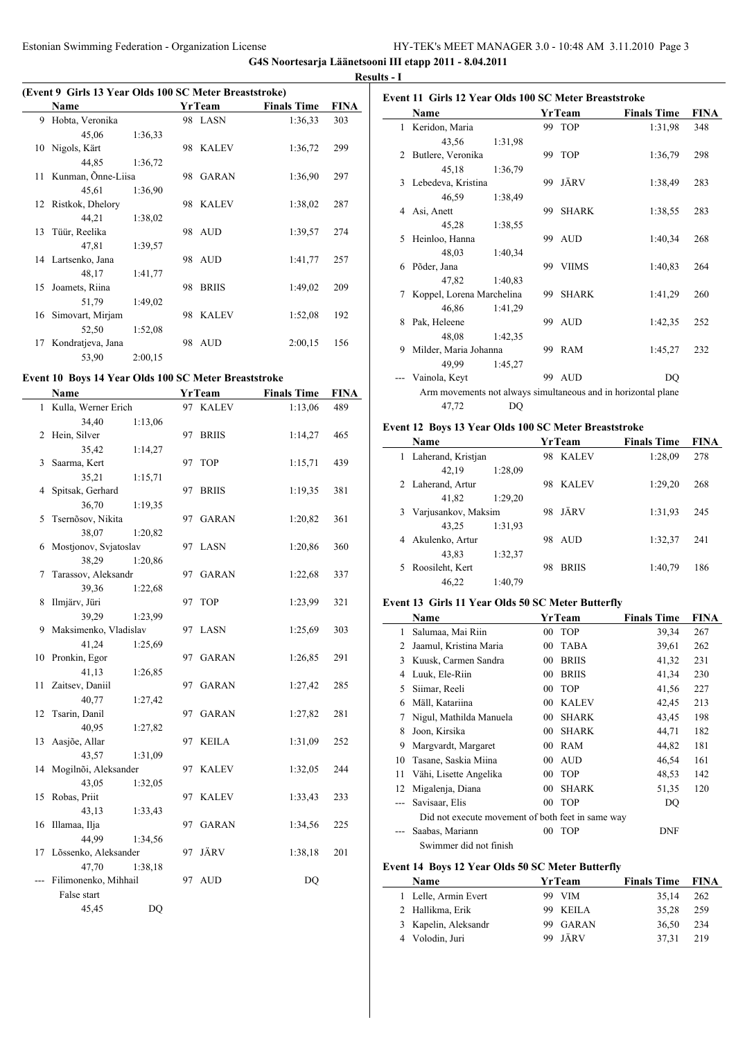$\frac{1}{2}$ 

 $\overline{\phantom{a}}$ 

 $\overline{a}$ 

 $\overline{\phantom{0}}$ 

## **(Event 9 Girls 13 Year Olds 100 SC Meter Breaststroke)**

| EVEIN 7 THIS IS I CAN UNIS TWO SC METER DI CASISTI UNC) |                    |         |    |               |                    |             |  |
|---------------------------------------------------------|--------------------|---------|----|---------------|--------------------|-------------|--|
|                                                         | Name               |         |    | <b>YrTeam</b> | <b>Finals Time</b> | <b>FINA</b> |  |
| 9                                                       | Hobta, Veronika    |         |    | 98 LASN       | 1:36,33            | 303         |  |
|                                                         | 45,06              | 1:36,33 |    |               |                    |             |  |
|                                                         | 10 Nigols, Kärt    |         |    | 98 KALEV      | 1:36,72            | 299         |  |
|                                                         | 44,85              | 1:36,72 |    |               |                    |             |  |
| 11                                                      | Kunman, Õnne-Liisa |         | 98 | <b>GARAN</b>  | 1:36.90            | 297         |  |
|                                                         | 45,61              | 1:36.90 |    |               |                    |             |  |
| 12                                                      | Ristkok, Dhelory   |         |    | 98 KALEV      | 1:38,02            | 287         |  |
|                                                         | 44,21              | 1:38,02 |    |               |                    |             |  |
| 13                                                      | Tüür, Reelika      |         |    | 98 AUD        | 1:39,57            | 274         |  |
|                                                         | 47,81              | 1:39,57 |    |               |                    |             |  |
|                                                         | 14 Lartsenko, Jana |         |    | 98 AUD        | 1:41,77            | 257         |  |
|                                                         | 48,17              | 1:41,77 |    |               |                    |             |  |
| 15                                                      | Joamets, Riina     |         | 98 | <b>BRIIS</b>  | 1:49,02            | 209         |  |
|                                                         | 51,79              | 1:49,02 |    |               |                    |             |  |
| 16                                                      | Simovart, Mirjam   |         |    | 98 KALEV      | 1:52,08            | 192         |  |
|                                                         | 52,50              | 1:52,08 |    |               |                    |             |  |
| 17                                                      | Kondratjeva, Jana  |         | 98 | <b>AUD</b>    | 2:00,15            | 156         |  |
|                                                         | 53,90              | 2:00,15 |    |               |                    |             |  |

### **Event 10 Boys 14 Year Olds 100 SC Meter Breaststroke**

|     | Name                    |    | <b>YrTeam</b> | <b>Finals Time</b> | <b>FINA</b> |
|-----|-------------------------|----|---------------|--------------------|-------------|
|     | 1 Kulla, Werner Erich   |    | 97 KALEV      | 1:13,06            | 489         |
|     | 34,40<br>1:13,06        |    |               |                    |             |
| 2   | Hein, Silver            |    | 97 BRIIS      | 1:14,27            | 465         |
|     | 35,42<br>1:14,27        |    |               |                    |             |
| 3   | Saarma, Kert            |    | 97 TOP        | 1:15,71            | 439         |
|     | 35,21<br>1:15,71        |    |               |                    |             |
| 4   | Spitsak, Gerhard        |    | 97 BRIIS      | 1:19,35            | 381         |
|     | 36,70<br>1:19,35        |    |               |                    |             |
| 5   | Tsernõsov, Nikita       |    | 97 GARAN      | 1:20,82            | 361         |
|     | 38,07<br>1:20,82        |    |               |                    |             |
| 6   | Mostjonov, Svjatoslav   |    | 97 LASN       | 1:20,86            | 360         |
|     | 38,29<br>1:20,86        |    |               |                    |             |
| 7   | Tarassov, Aleksandr     |    | 97 GARAN      | 1:22,68            | 337         |
|     | 39,36<br>1:22,68        |    |               |                    |             |
| 8   | Ilmjärv, Jüri           |    | 97 TOP        | 1:23,99            | 321         |
|     | 39,29<br>1:23.99        |    |               |                    |             |
| 9   | Maksimenko, Vladislav   |    | 97 LASN       | 1:25,69            | 303         |
|     | 41,24<br>1:25.69        |    |               |                    |             |
| 10  | Pronkin, Egor           |    | 97 GARAN      | 1:26,85            | 291         |
|     | 41,13<br>1:26,85        |    |               |                    |             |
| 11  | Zaitsev, Daniil         |    | 97 GARAN      | 1:27,42            | 285         |
|     | 40,77<br>1:27,42        |    |               |                    |             |
| 12  | Tsarin, Danil           |    | 97 GARAN      | 1:27,82            | 281         |
|     | 40,95<br>1:27,82        |    |               |                    |             |
| 13  | Aasjõe, Allar           | 97 | <b>KEILA</b>  | 1:31,09            | 252         |
|     | 43,57<br>1:31,09        |    |               |                    |             |
| 14  | Mogilnõi, Aleksander    |    | 97 KALEV      | 1:32,05            | 244         |
|     | 43,05<br>1:32,05        |    |               |                    |             |
| 15  | Robas, Priit            | 97 | KALEV         | 1:33,43            | 233         |
|     | 43,13<br>1:33,43        |    |               |                    |             |
| 16  | Illamaa, Ilja           |    | 97 GARAN      | 1:34,56            | 225         |
|     | 44,99<br>1:34,56        |    |               |                    |             |
|     | 17 Lõssenko, Aleksander |    | 97 JÄRV       | 1:38,18            | 201         |
|     | 47,70<br>1:38,18        |    |               |                    |             |
| --- | Filimonenko, Mihhail    |    | 97 AUD        | DQ                 |             |
|     | False start             |    |               |                    |             |
|     | 45,45                   | DQ |               |                    |             |

### **Event 11 Girls 12 Year Olds 100 SC Meter Breaststroke**

|               | Name                                                          |         |     | YrTeam       | <b>Finals Time</b> | FINA |
|---------------|---------------------------------------------------------------|---------|-----|--------------|--------------------|------|
| 1             | Keridon, Maria                                                |         |     | 99 TOP       | 1:31.98            | 348  |
|               | 43,56                                                         | 1:31,98 |     |              |                    |      |
| $\mathcal{L}$ | Butlere, Veronika                                             |         | 99. | <b>TOP</b>   | 1:36,79            | 298  |
|               | 45,18                                                         | 1:36,79 |     |              |                    |      |
| 3             | Lebedeva, Kristina                                            |         | 99. | JÄRV         | 1:38,49            | 283  |
|               | 46,59                                                         | 1:38,49 |     |              |                    |      |
| 4             | Asi, Anett                                                    |         | 99  | <b>SHARK</b> | 1:38,55            | 283  |
|               | 45,28                                                         | 1:38.55 |     |              |                    |      |
| 5             | Heinloo, Hanna                                                |         |     | 99 AUD       | 1:40,34            | 268  |
|               | 48,03                                                         | 1:40,34 |     |              |                    |      |
| 6             | Põder, Jana                                                   |         | 99. | <b>VIIMS</b> | 1:40,83            | 264  |
|               | 47,82                                                         | 1:40.83 |     |              |                    |      |
|               | Koppel, Lorena Marchelina                                     |         | 99. | <b>SHARK</b> | 1:41,29            | 260  |
|               | 46,86                                                         | 1:41,29 |     |              |                    |      |
| 8             | Pak, Heleene                                                  |         |     | 99 AUD       | 1:42,35            | 252  |
|               | 48,08                                                         | 1:42,35 |     |              |                    |      |
| 9             | Milder, Maria Johanna                                         |         | 99. | <b>RAM</b>   | 1:45,27            | 232  |
|               | 49,99                                                         | 1:45,27 |     |              |                    |      |
|               | Vainola, Keyt                                                 |         | 99  | <b>AUD</b>   | DO                 |      |
|               | Arm movements not always simultaneous and in horizontal plane |         |     |              |                    |      |
|               | 47,72                                                         | DQ      |     |              |                    |      |

## **Event 12 Boys 13 Year Olds 100 SC Meter Breaststroke**

|   | Name                |         |    | YrTeam       | <b>Finals Time</b> | FINA |
|---|---------------------|---------|----|--------------|--------------------|------|
| 1 | Laherand, Kristjan  |         | 98 | <b>KALEV</b> | 1:28,09            | 278  |
|   | 42.19               | 1:28,09 |    |              |                    |      |
|   | 2 Laherand, Artur   |         | 98 | <b>KALEV</b> | 1:29,20            | 268  |
|   | 41,82               | 1:29,20 |    |              |                    |      |
| 3 | Varjusankov, Maksim |         | 98 | JÄRV         | 1:31.93            | 245  |
|   | 43.25               | 1:31.93 |    |              |                    |      |
|   | Akulenko, Artur     |         | 98 | <b>AUD</b>   | 1:32,37            | 241  |
|   | 43,83               | 1:32,37 |    |              |                    |      |
|   | Roosileht, Kert     |         | 98 | <b>BRIIS</b> | 1:40,79            | 186  |
|   | 46.22               | 1:40,79 |    |              |                    |      |

#### **Event 13 Girls 11 Year Olds 50 SC Meter Butterfly**

|    | Name                                              |                 | YrTeam       | <b>Finals Time</b> | FINA |
|----|---------------------------------------------------|-----------------|--------------|--------------------|------|
| 1  | Salumaa, Mai Riin                                 | 00              | <b>TOP</b>   | 39,34              | 267  |
| 2  | Jaamul, Kristina Maria                            | 00 <sup>°</sup> | <b>TABA</b>  | 39,61              | 262  |
| 3  | Kuusk, Carmen Sandra                              | 00              | <b>BRIIS</b> | 41,32              | 231  |
| 4  | Luuk, Ele-Riin                                    | 00              | <b>BRIIS</b> | 41,34              | 230  |
| 5  | Siimar, Reeli                                     | 00              | <b>TOP</b>   | 41,56              | 227  |
| 6  | Mäll, Katariina                                   | 00              | <b>KALEV</b> | 42,45              | 213  |
| 7  | Nigul, Mathilda Manuela                           | 00              | <b>SHARK</b> | 43,45              | 198  |
| 8  | Joon, Kirsika                                     | $00\,$          | <b>SHARK</b> | 44,71              | 182  |
| 9  | Margvardt, Margaret                               | 00 <sup>°</sup> | <b>RAM</b>   | 44,82              | 181  |
| 10 | Tasane, Saskia Miina                              | 00              | <b>AUD</b>   | 46,54              | 161  |
| 11 | Vähi, Lisette Angelika                            | 00              | <b>TOP</b>   | 48,53              | 142  |
| 12 | Migalenja, Diana                                  | 00              | <b>SHARK</b> | 51,35              | 120  |
|    | Savisaar, Elis                                    | 00              | <b>TOP</b>   | DQ                 |      |
|    | Did not execute movement of both feet in same way |                 |              |                    |      |
|    | Saabas, Mariann                                   | 00              | <b>TOP</b>   | DNF                |      |
|    | Swimmer did not finish                            |                 |              |                    |      |

## **Event 14 Boys 12 Year Olds 50 SC Meter Butterfly**

| <b>Name</b>          | <b>YrTeam</b> | <b>Finals Time FINA</b> |     |
|----------------------|---------------|-------------------------|-----|
| 1 Lelle, Armin Evert | 99 VIM        | 35.14                   | 262 |
| 2 Hallikma, Erik     | 99 KEILA      | 35.28                   | 259 |
| 3 Kapelin, Aleksandr | 99 GARAN      | 36.50                   | 234 |
| 4 Volodin, Juri      | 99 JÄRV       | 37.31                   | 219 |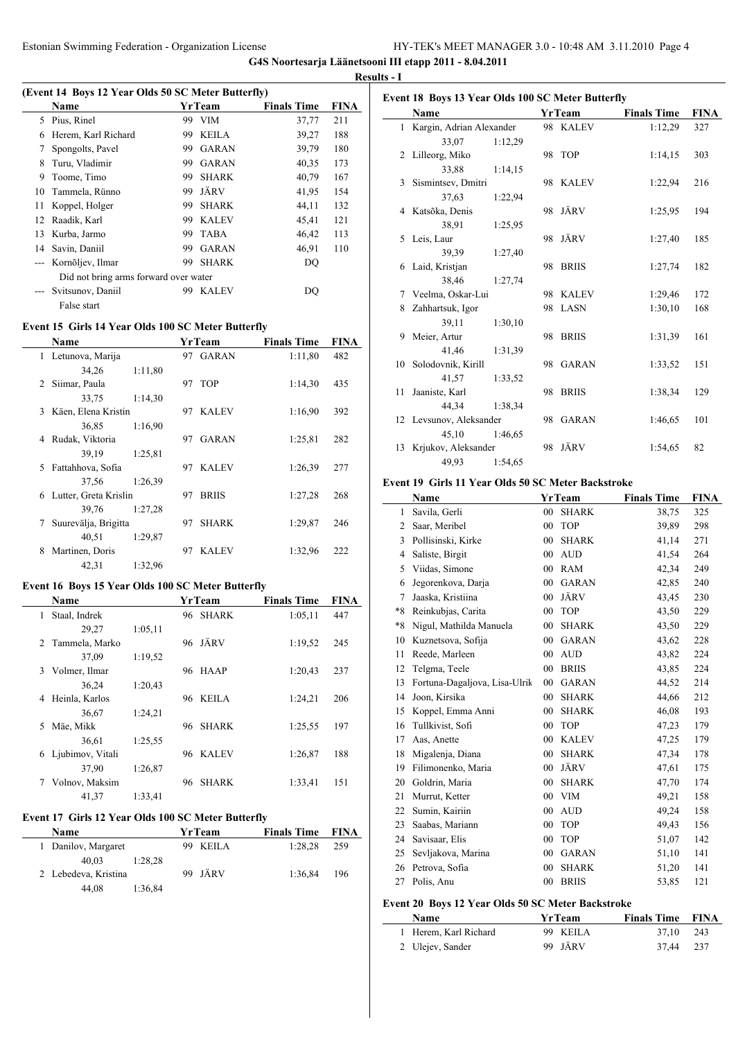$\overline{a}$ 

### **(Event 14 Boys 12 Year Olds 50 SC Meter Butterfly)**

|     | EVENT IT DOVS 12 TEAL ORD JO SC METEL DUITELITY |     |               |                    |             |  |  |  |  |
|-----|-------------------------------------------------|-----|---------------|--------------------|-------------|--|--|--|--|
|     | Name                                            |     | <b>YrTeam</b> | <b>Finals Time</b> | <b>FINA</b> |  |  |  |  |
| 5   | Pius, Rinel                                     | 99  | <b>VIM</b>    | 37,77              | 211         |  |  |  |  |
| 6   | Herem, Karl Richard                             | 99  | <b>KEILA</b>  | 39,27              | 188         |  |  |  |  |
| 7   | Spongolts, Pavel                                | 99  | <b>GARAN</b>  | 39,79              | 180         |  |  |  |  |
| 8   | Turu, Vladimir                                  | 99  | <b>GARAN</b>  | 40,35              | 173         |  |  |  |  |
| 9   | Toome, Timo                                     | 99  | <b>SHARK</b>  | 40,79              | 167         |  |  |  |  |
| 10  | Tammela, Rünno                                  | 99  | JÄRV          | 41,95              | 154         |  |  |  |  |
| 11  | Koppel, Holger                                  | 99  | <b>SHARK</b>  | 44,11              | 132         |  |  |  |  |
| 12  | Raadik, Karl                                    | 99  | KALEV         | 45,41              | 121         |  |  |  |  |
| 13. | Kurba, Jarmo                                    | 99  | <b>TABA</b>   | 46,42              | 113         |  |  |  |  |
| 14  | Savin, Daniil                                   | 99. | <b>GARAN</b>  | 46,91              | 110         |  |  |  |  |
|     | Kornõljev, Ilmar                                | 99  | <b>SHARK</b>  | DQ                 |             |  |  |  |  |
|     | Did not bring arms forward over water           |     |               |                    |             |  |  |  |  |
|     | Svitsunov, Daniil                               | 99  | <b>KALEV</b>  | DO                 |             |  |  |  |  |
|     | False start                                     |     |               |                    |             |  |  |  |  |

# **Event 15 Girls 14 Year Olds 100 SC Meter Butterfly**

|               | Name                  |         |    | YrTeam       | <b>Finals Time</b> | <b>FINA</b> |
|---------------|-----------------------|---------|----|--------------|--------------------|-------------|
|               | 1 Letunova, Marija    |         |    | 97 GARAN     | 1:11,80            | 482         |
|               | 34,26                 | 1:11,80 |    |              |                    |             |
| $\mathcal{L}$ | Siimar, Paula         |         |    | 97 TOP       | 1:14,30            | 435         |
|               | 33,75                 | 1:14,30 |    |              |                    |             |
| 3             | Käen, Elena Kristin   |         |    | 97 KALEV     | 1:16,90            | 392         |
|               | 36,85                 | 1:16,90 |    |              |                    |             |
| 4             | Rudak, Viktoria       |         | 97 | GARAN        | 1:25,81            | 282         |
|               | 39,19                 | 1:25,81 |    |              |                    |             |
| 5.            | Fattahhova, Sofia     |         |    | 97 KALEV     | 1:26.39            | 277         |
|               | 37,56                 | 1:26.39 |    |              |                    |             |
| 6             | Lutter, Greta Krislin |         | 97 | <b>BRIIS</b> | 1:27,28            | 268         |
|               | 39,76                 | 1:27,28 |    |              |                    |             |
| 7             | Suurevälja, Brigitta  |         | 97 | <b>SHARK</b> | 1:29,87            | 246         |
|               | 40,51                 | 1:29,87 |    |              |                    |             |
| 8             | Martinen, Doris       |         | 97 | <b>KALEV</b> | 1:32,96            | 222         |
|               | 42,31                 | 1:32,96 |    |              |                    |             |

## **Event 16 Boys 15 Year Olds 100 SC Meter Butterfly**

| <b>Name</b> |                  |         | YrTeam |              | <b>Finals Time</b> | <b>FINA</b> |  |
|-------------|------------------|---------|--------|--------------|--------------------|-------------|--|
| 1           | Staal, Indrek    |         |        | 96 SHARK     | 1:05,11            | 447         |  |
|             | 29,27            | 1:05,11 |        |              |                    |             |  |
|             | 2 Tammela, Marko |         |        | 96 JÄRV      | 1:19.52            | 245         |  |
|             | 37.09            | 1:19.52 |        |              |                    |             |  |
| 3           | Volmer, Ilmar    |         |        | 96 HAAP      | 1:20,43            | 237         |  |
|             | 36,24            | 1:20,43 |        |              |                    |             |  |
| 4           | Heinla, Karlos   |         |        | 96 KEILA     | 1:24,21            | 206         |  |
|             | 36,67            | 1:24,21 |        |              |                    |             |  |
| 5           | Mäe, Mikk        |         | 96     | <b>SHARK</b> | 1:25,55            | 197         |  |
|             | 36.61            | 1:25.55 |        |              |                    |             |  |
| 6           | Ljubimov, Vitali |         |        | 96 KALEV     | 1:26,87            | 188         |  |
|             | 37,90            | 1:26,87 |        |              |                    |             |  |
| 7           | Volnov, Maksim   |         | 96     | <b>SHARK</b> | 1:33,41            | 151         |  |
|             | 41.37            | 1:33.41 |        |              |                    |             |  |

### **Event 17 Girls 12 Year Olds 100 SC Meter Butterfly**

 $\overline{a}$ 

| <b>Name</b>          | YrTeam   | <b>Finals Time FINA</b> |     |  |
|----------------------|----------|-------------------------|-----|--|
| 1 Danilov, Margaret  | 99 KEILA | 1:28.28                 | 259 |  |
| 40.03<br>1:28.28     |          |                         |     |  |
| 2 Lebedeva, Kristina | 99 JÄRV  | 1:36.84                 | 196 |  |
| 44,08<br>1:36,84     |          |                         |     |  |

|              | Event 18 Boys 13 Year Olds 100 SC Meter Butterfly |         |    |               |                    |      |
|--------------|---------------------------------------------------|---------|----|---------------|--------------------|------|
|              | Name                                              |         |    | <b>YrTeam</b> | <b>Finals Time</b> | FINA |
| $\mathbf{1}$ | Kargin, Adrian Alexander                          |         |    | 98 KALEV      | 1:12,29            | 327  |
|              | 33,07                                             | 1:12,29 |    |               |                    |      |
| 2            | Lilleorg, Miko                                    |         |    | 98 TOP        | 1:14,15            | 303  |
|              | 33,88                                             | 1:14,15 |    |               |                    |      |
| 3            | Sismintsev, Dmitri                                |         |    | 98 KALEV      | 1:22,94            | 216  |
|              | 37,63                                             | 1:22,94 |    |               |                    |      |
|              | 4 Katsõka, Denis                                  |         |    | 98 JÄRV       | 1:25,95            | 194  |
|              | 38,91                                             | 1:25,95 |    |               |                    |      |
| 5            | Leis, Laur                                        |         |    | 98 JÄRV       | 1:27,40            | 185  |
|              | 39,39                                             | 1:27,40 |    |               |                    |      |
| 6            | Laid, Kristjan                                    |         |    | 98 BRIIS      | 1:27,74            | 182  |
|              | 38,46                                             | 1:27,74 |    |               |                    |      |
| 7            | Veelma, Oskar-Lui                                 |         |    | 98 KALEV      | 1:29,46            | 172  |
| 8            | Zahhartsuk, Igor                                  |         | 98 | LASN          | 1:30,10            | 168  |
|              | 39,11                                             | 1:30,10 |    |               |                    |      |
| 9            | Meier, Artur                                      |         |    | 98 BRIIS      | 1:31,39            | 161  |
|              | 41,46                                             | 1:31,39 |    |               |                    |      |
| 10           | Solodovnik, Kirill                                |         |    | 98 GARAN      | 1:33,52            | 151  |
|              | 41,57                                             | 1:33,52 |    |               |                    |      |
| 11           | Jaaniste, Karl                                    |         | 98 | <b>BRIIS</b>  | 1:38,34            | 129  |
|              | 44,34                                             | 1:38,34 |    |               |                    |      |
|              | 12 Levsunov, Aleksander                           |         |    | 98 GARAN      | 1:46,65            | 101  |
|              | 45,10                                             | 1:46,65 |    |               |                    |      |
| 13           | Krjukov, Aleksander                               |         |    | 98 JÄRV       | 1:54,65            | 82   |
|              | 49,93                                             | 1:54,65 |    |               |                    |      |

### **Event 19 Girls 11 Year Olds 50 SC Meter Backstroke**

|      | Name                          |                | <b>YrTeam</b> | <b>Finals Time</b> | <b>FINA</b> |
|------|-------------------------------|----------------|---------------|--------------------|-------------|
| 1    | Savila, Gerli                 | 00             | <b>SHARK</b>  | 38,75              | 325         |
| 2    | Saar, Meribel                 | $00\,$         | <b>TOP</b>    | 39,89              | 298         |
| 3    | Pollisinski, Kirke            | 00             | <b>SHARK</b>  | 41,14              | 271         |
| 4    | Saliste, Birgit               | 00             | <b>AUD</b>    | 41,54              | 264         |
| 5    | Viidas, Simone                | $00\,$         | <b>RAM</b>    | 42,34              | 249         |
| 6    | Jegorenkova, Darja            | $00\,$         | <b>GARAN</b>  | 42,85              | 240         |
| 7    | Jaaska, Kristiina             | 00             | JÄRV          | 43,45              | 230         |
| $*8$ | Reinkubjas, Carita            | 00             | <b>TOP</b>    | 43,50              | 229         |
| $*8$ | Nigul, Mathilda Manuela       | 00             | <b>SHARK</b>  | 43,50              | 229         |
| 10   | Kuznetsova, Sofija            | 00             | <b>GARAN</b>  | 43,62              | 228         |
| 11   | Reede, Marleen                | $00\,$         | <b>AUD</b>    | 43,82              | 224         |
| 12   | Telgma, Teele                 | $00\,$         | <b>BRIIS</b>  | 43,85              | 224         |
| 13   | Fortuna-Dagaljova, Lisa-Ulrik | 00             | <b>GARAN</b>  | 44,52              | 214         |
| 14   | Joon, Kirsika                 | 00             | <b>SHARK</b>  | 44,66              | 212         |
| 15   | Koppel, Emma Anni             | 00             | <b>SHARK</b>  | 46,08              | 193         |
| 16   | Tullkivist, Sofi              | $00\,$         | <b>TOP</b>    | 47,23              | 179         |
| 17   | Aas, Anette                   | $00\,$         | <b>KALEV</b>  | 47,25              | 179         |
| 18   | Migalenja, Diana              | $00\,$         | <b>SHARK</b>  | 47,34              | 178         |
| 19   | Filimonenko, Maria            | 00             | JÄRV          | 47,61              | 175         |
| 20   | Goldrin, Maria                | 00             | <b>SHARK</b>  | 47,70              | 174         |
| 21   | Murrut, Ketter                | $00\,$         | <b>VIM</b>    | 49,21              | 158         |
| 22   | Sumin, Kairiin                | 00             | <b>AUD</b>    | 49,24              | 158         |
| 23   | Saabas, Mariann               | $00\,$         | <b>TOP</b>    | 49,43              | 156         |
| 24   | Savisaar, Elis                | 00             | <b>TOP</b>    | 51,07              | 142         |
| 25   | Sevljakova, Marina            | $00\,$         | <b>GARAN</b>  | 51,10              | 141         |
| 26   | Petrova, Sofia                | $00\,$         | <b>SHARK</b>  | 51,20              | 141         |
| 27   | Polis, Anu                    | 0 <sub>0</sub> | <b>BRIIS</b>  | 53,85              | 121         |

# **Event 20 Boys 12 Year Olds 50 SC Meter Backstroke**

| <b>Name</b>           | <b>YrTeam</b> | <b>Finals Time FINA</b> |  |
|-----------------------|---------------|-------------------------|--|
| 1 Herem, Karl Richard | 99 KEILA      | 37.10 243               |  |
| 2 Ulejev, Sander      | 99 JÄRV       | 37.44 237               |  |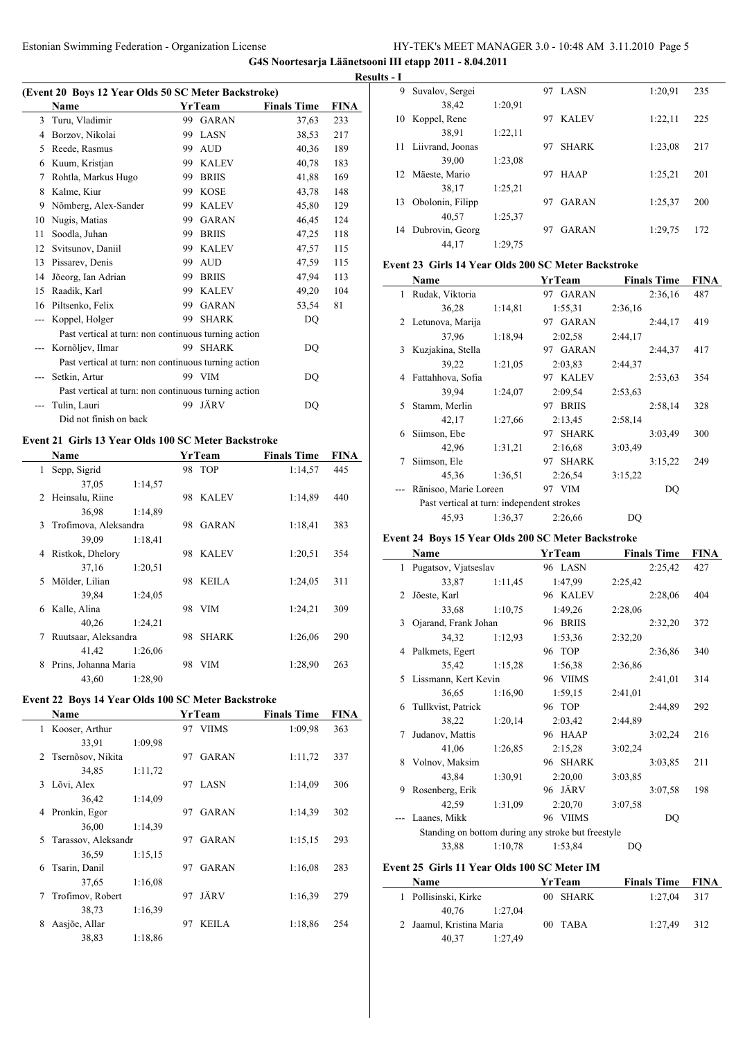**G4S Noortesarja Läänetsooni III etapp 2011 - 8.04.2011**

 $\overline{\phantom{a}}$ 

|     | (Event 20 Boys 12 Year Olds 50 SC Meter Backstroke)  |     |              |                    |      |
|-----|------------------------------------------------------|-----|--------------|--------------------|------|
|     | <b>Name</b>                                          |     | YrTeam       | <b>Finals Time</b> | FINA |
| 3   | Turu, Vladimir                                       | 99  | <b>GARAN</b> | 37,63              | 233  |
| 4   | Borzov, Nikolai                                      | 99  | LASN         | 38,53              | 217  |
| 5   | Reede, Rasmus                                        | 99  | <b>AUD</b>   | 40,36              | 189  |
| 6   | Kuum, Kristjan                                       | 99  | <b>KALEV</b> | 40,78              | 183  |
| 7   | Rohtla, Markus Hugo                                  | 99  | <b>BRIIS</b> | 41,88              | 169  |
| 8   | Kalme, Kiur                                          | 99  | <b>KOSE</b>  | 43,78              | 148  |
| 9   | Nõmberg, Alex-Sander                                 | 99  | <b>KALEV</b> | 45,80              | 129  |
| 10  | Nugis, Matias                                        | 99  | <b>GARAN</b> | 46,45              | 124  |
| 11  | Soodla, Juhan                                        | 99  | <b>BRIIS</b> | 47,25              | 118  |
| 12  | Svitsunov, Daniil                                    | 99  | <b>KALEV</b> | 47,57              | 115  |
| 13  | Pissarev, Denis                                      | 99  | <b>AUD</b>   | 47,59              | 115  |
| 14  | Jõeorg, Ian Adrian                                   | 99  | <b>BRIIS</b> | 47,94              | 113  |
| 15  | Raadik, Karl                                         | 99  | <b>KALEV</b> | 49,20              | 104  |
| 16  | Piltsenko, Felix                                     | 99  | <b>GARAN</b> | 53,54              | 81   |
| --- | Koppel, Holger                                       | 99  | <b>SHARK</b> | DO                 |      |
|     | Past vertical at turn: non continuous turning action |     |              |                    |      |
|     | Kornõljev, Ilmar                                     | 99. | <b>SHARK</b> | DO                 |      |
|     | Past vertical at turn: non continuous turning action |     |              |                    |      |
|     | Setkin, Artur                                        |     | 99 VIM       | DO                 |      |
|     | Past vertical at turn: non continuous turning action |     |              |                    |      |
|     | Tulin, Lauri                                         | 99  | JÄRV         | DO                 |      |
|     | Did not finish on back                               |     |              |                    |      |
|     |                                                      |     |              |                    |      |

# **Event 21 Girls 13 Year Olds 100 SC Meter Backstroke**

|   | Name                  |         |    | YrTeam       | <b>Finals Time</b> | <b>FINA</b> |
|---|-----------------------|---------|----|--------------|--------------------|-------------|
| 1 | Sepp, Sigrid          |         |    | 98 TOP       | 1:14,57            | 445         |
|   | 37,05                 | 1:14,57 |    |              |                    |             |
| 2 | Heinsalu, Riine       |         | 98 | <b>KALEV</b> | 1:14,89            | 440         |
|   | 36,98                 | 1:14,89 |    |              |                    |             |
| 3 | Trofimova, Aleksandra |         | 98 | GARAN        | 1:18,41            | 383         |
|   | 39,09                 | 1:18,41 |    |              |                    |             |
| 4 | Ristkok, Dhelory      |         | 98 | KALEV        | 1:20,51            | 354         |
|   | 37,16                 | 1:20.51 |    |              |                    |             |
| 5 | Mölder, Lilian        |         | 98 | KEILA        | 1:24,05            | 311         |
|   | 39,84                 | 1:24,05 |    |              |                    |             |
| 6 | Kalle, Alina          |         | 98 | <b>VIM</b>   | 1:24,21            | 309         |
|   | 40,26                 | 1:24,21 |    |              |                    |             |
| 7 | Ruutsaar, Aleksandra  |         | 98 | <b>SHARK</b> | 1:26,06            | 290         |
|   | 41,42                 | 1:26,06 |    |              |                    |             |
| 8 | Prins, Johanna Maria  |         | 98 | <b>VIM</b>   | 1:28,90            | 263         |
|   | 43,60                 | 1:28,90 |    |              |                    |             |

# **Event 22 Boys 14 Year Olds 100 SC Meter Backstroke**

|   | <b>Name</b>         |         |    | <b>YrTeam</b> | <b>Finals Time</b> | <b>FINA</b> |
|---|---------------------|---------|----|---------------|--------------------|-------------|
| 1 | Kooser, Arthur      |         | 97 | VIIMS         | 1:09.98            | 363         |
|   | 33,91               | 1:09.98 |    |               |                    |             |
|   | 2 Tsernõsov, Nikita |         | 97 | <b>GARAN</b>  | 1:11,72            | 337         |
|   | 34,85               | 1:11,72 |    |               |                    |             |
| 3 | Lõvi, Alex          |         | 97 | <b>LASN</b>   | 1:14,09            | 306         |
|   | 36,42               | 1:14,09 |    |               |                    |             |
| 4 | Pronkin, Egor       |         | 97 | <b>GARAN</b>  | 1:14,39            | 302         |
|   | 36,00               | 1:14.39 |    |               |                    |             |
| 5 | Tarassov, Aleksandr |         | 97 | GARAN         | 1:15.15            | 293         |
|   | 36,59               | 1:15.15 |    |               |                    |             |
| 6 | Tsarin, Danil       |         | 97 | <b>GARAN</b>  | 1:16,08            | 283         |
|   | 37,65               | 1:16,08 |    |               |                    |             |
| 7 | Trofimov, Robert    |         | 97 | JÄRV          | 1:16.39            | 279         |
|   | 38,73               | 1:16.39 |    |               |                    |             |
| 8 | Aasjõe, Allar       |         | 97 | <b>KEILA</b>  | 1:18,86            | 254         |
|   | 38,83               | 1:18.86 |    |               |                    |             |

|          | <b>Results - I</b> |                     |         |    |              |         |     |
|----------|--------------------|---------------------|---------|----|--------------|---------|-----|
|          | 9                  | Suvalov, Sergei     |         | 97 | LASN         | 1:20.91 | 235 |
| <u>A</u> |                    | 38,42               | 1:20.91 |    |              |         |     |
|          | 10                 | Koppel, Rene        |         | 97 | <b>KALEV</b> | 1:22,11 | 225 |
|          |                    | 38,91               | 1:22,11 |    |              |         |     |
|          |                    | 11 Liivrand, Joonas |         | 97 | <b>SHARK</b> | 1:23,08 | 217 |
|          |                    | 39,00               | 1:23,08 |    |              |         |     |
|          |                    | 12 Mäeste, Mario    |         | 97 | <b>HAAP</b>  | 1:25.21 | 201 |
|          |                    | 38,17               | 1:25.21 |    |              |         |     |
|          | 13                 | Obolonin, Filipp    |         | 97 | GARAN        | 1:25,37 | 200 |
|          |                    | 40,57               | 1:25.37 |    |              |         |     |
|          | 14                 | Dubrovin, Georg     |         | 97 | <b>GARAN</b> | 1:29,75 | 172 |
|          |                    | 44.17               | 1:29,75 |    |              |         |     |

# **Event 23 Girls 14 Year Olds 200 SC Meter Backstroke**

|   | Name                                       |         | YrTeam             | <b>Finals Time</b> | FINA |
|---|--------------------------------------------|---------|--------------------|--------------------|------|
| 1 | Rudak, Viktoria                            |         | 97 GARAN           | 2:36,16            | 487  |
|   | 36,28                                      | 1:14,81 | 1:55.31            | 2:36,16            |      |
| 2 | Letunova, Marija                           |         | 97 GARAN           | 2:44,17            | 419  |
|   | 37,96                                      | 1:18,94 | 2:02,58            | 2:44,17            |      |
| 3 | Kuzjakina, Stella                          |         | 97 GARAN           | 2:44,37            | 417  |
|   | 39,22                                      | 1:21,05 | 2:03.83            | 2:44,37            |      |
| 4 | Fattahhova, Sofia                          |         | 97 KALEV           | 2:53,63            | 354  |
|   | 39,94                                      | 1:24,07 | 2:09.54            | 2:53,63            |      |
| 5 | Stamm, Merlin                              |         | 97 BRIIS           | 2:58,14            | 328  |
|   | 42,17                                      | 1:27,66 | 2:13,45            | 2:58,14            |      |
| 6 | Siimson, Ebe                               |         | 97 SHARK           | 3:03,49            | 300  |
|   | 42,96                                      | 1:31,21 | 2:16.68            | 3:03,49            |      |
| 7 | Siimson, Ele                               |         | <b>SHARK</b><br>97 | 3:15,22            | 249  |
|   | 45,36                                      | 1:36,51 | 2:26.54            | 3:15.22            |      |
|   | Ränisoo, Marie Loreen                      |         | 97 VIM             | DO                 |      |
|   | Past vertical at turn: independent strokes |         |                    |                    |      |
|   | 45,93                                      | 1:36,37 | 2:26,66            | DQ                 |      |

# **Event 24 Boys 15 Year Olds 200 SC Meter Backstroke**

|    | Name                   |         | YrTeam                                             | <b>Finals Time</b> | <b>FINA</b> |
|----|------------------------|---------|----------------------------------------------------|--------------------|-------------|
|    | 1 Pugatsov, Vjatseslav |         | 96 LASN                                            | 2:25,42            | 427         |
|    | 33,87                  | 1:11,45 | 1:47,99                                            | 2:25,42            |             |
| 2  | Jõeste, Karl           |         | 96 KALEV                                           | 2:28,06            | 404         |
|    | 33,68                  | 1:10,75 | 1:49.26                                            | 2:28,06            |             |
| 3  | Ojarand, Frank Johan   |         | 96 BRIIS                                           | 2:32,20            | 372         |
|    | 34,32                  | 1:12,93 | 1:53,36                                            | 2:32,20            |             |
|    | 4 Palkmets, Egert      |         | 96 TOP                                             | 2:36,86            | 340         |
|    | 35,42                  | 1:15,28 | 1:56,38                                            | 2:36,86            |             |
| 5. | Lissmann, Kert Kevin   |         | 96 VIIMS                                           | 2:41,01            | 314         |
|    | 36,65                  | 1:16,90 | 1:59.15                                            | 2:41,01            |             |
| 6  | Tullkvist, Patrick     |         | 96 TOP                                             | 2:44,89            | 292         |
|    | 38,22                  | 1:20,14 | 2:03,42                                            | 2:44,89            |             |
| 7  | Judanov, Mattis        |         | 96 HAAP                                            | 3:02,24            | 216         |
|    | 41,06                  | 1:26,85 | 2:15.28                                            | 3:02,24            |             |
|    | 8 Volnov, Maksim       |         | 96 SHARK                                           | 3:03,85            | 211         |
|    | 43,84                  | 1:30,91 | 2:20,00                                            | 3:03,85            |             |
| 9  | Rosenberg, Erik        |         | 96 JÄRV                                            | 3:07,58            | 198         |
|    | 42,59                  | 1:31.09 | 2:20,70                                            | 3:07,58            |             |
|    | Laanes, Mikk           |         | 96 VIIMS                                           | DQ                 |             |
|    |                        |         | Standing on bottom during any stroke but freestyle |                    |             |
|    | 33,88                  | 1:10,78 | 1:53,84                                            | DQ                 |             |
|    |                        |         |                                                    |                    |             |

# **Event 25 Girls 11 Year Olds 100 SC Meter IM**

 $\overline{a}$ 

| <b>Name</b>              |         | YrTeam   | <b>Finals Time FINA</b> |  |
|--------------------------|---------|----------|-------------------------|--|
| Pollisinski, Kirke       |         | 00 SHARK | $1:27.04$ 317           |  |
| 40.76                    | 1:27.04 |          |                         |  |
| 2 Jaamul, Kristina Maria |         | 00 TABA  | 1:27.49 312             |  |
| 40.37                    | 1:27.49 |          |                         |  |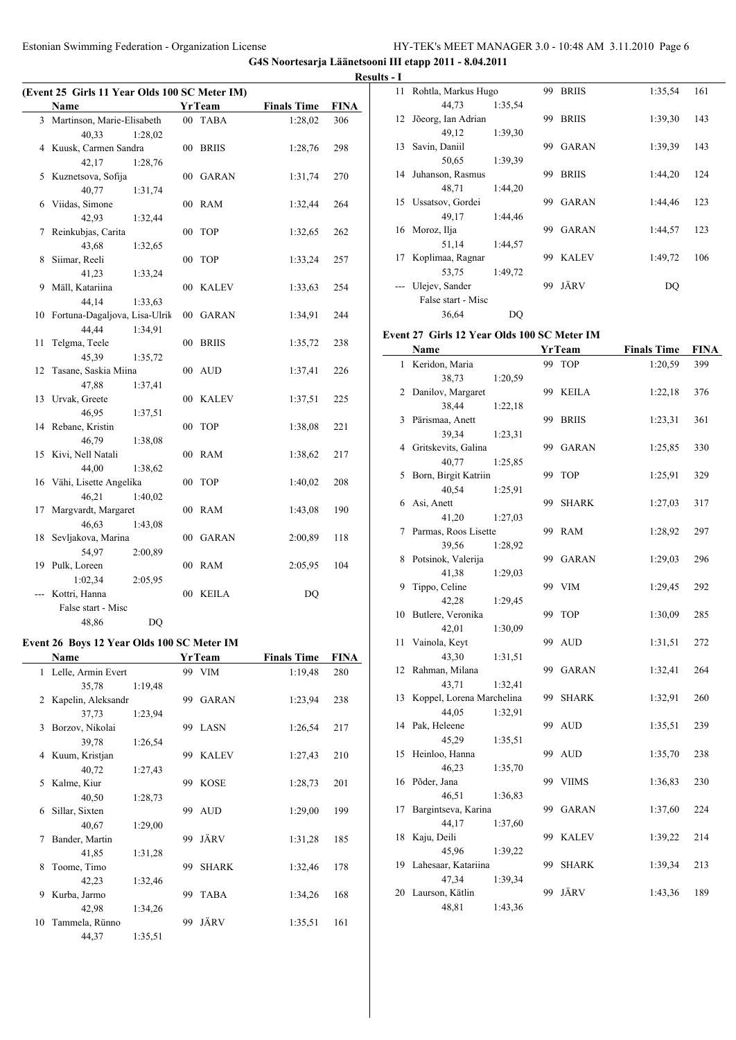**G4S Noortesarja Läänetsooni III etapp 2011 - 8.04.2011**

|    | (Event 25 Girls 11 Year Olds 100 SC Meter IM) |        |               |                    |      |
|----|-----------------------------------------------|--------|---------------|--------------------|------|
|    | <b>Name</b>                                   |        | <b>YrTeam</b> | <b>Finals Time</b> | FINA |
| 3  | Martinson, Marie-Elisabeth                    |        | 00 TABA       | 1:28,02            | 306  |
|    | 40,33<br>1:28,02                              |        |               |                    |      |
| 4  | Kuusk, Carmen Sandra                          | 00     | <b>BRIIS</b>  | 1:28,76            | 298  |
|    | 42,17<br>1:28,76                              |        |               |                    |      |
| 5  | Kuznetsova, Sofija                            | $00\,$ | <b>GARAN</b>  | 1:31,74            | 270  |
|    | 40,77<br>1:31,74                              |        |               |                    |      |
| 6  | Viidas, Simone                                | $00\,$ | <b>RAM</b>    | 1:32,44            | 264  |
|    | 42,93<br>1:32,44                              |        |               |                    |      |
| 7  | Reinkubjas, Carita                            | 00     | <b>TOP</b>    | 1:32,65            | 262  |
|    | 43,68<br>1:32,65                              |        |               |                    |      |
| 8  | Siimar, Reeli                                 | 00     | <b>TOP</b>    | 1:33,24            | 257  |
|    | 41,23<br>1:33,24                              |        |               |                    |      |
| 9  | Mäll, Katariina                               | 00     | KALEV         | 1:33,63            | 254  |
|    | 44,14<br>1:33,63                              |        |               |                    |      |
| 10 | Fortuna-Dagaljova, Lisa-Ulrik                 | $00\,$ | GARAN         | 1:34,91            | 244  |
|    | 44,44<br>1:34,91                              |        |               |                    |      |
| 11 | Telgma, Teele                                 | $00\,$ | <b>BRIIS</b>  | 1:35,72            | 238  |
|    | 45,39<br>1:35,72                              |        |               |                    |      |
| 12 | Tasane, Saskia Miina                          | 00     | AUD           | 1:37,41            | 226  |
|    | 47,88<br>1:37,41                              |        |               |                    |      |
| 13 | Urvak, Greete                                 | $00\,$ | KALEV         | 1:37,51            | 225  |
|    | 46,95<br>1:37,51                              |        |               |                    |      |
| 14 | Rebane, Kristin                               | $00\,$ | <b>TOP</b>    | 1:38,08            | 221  |
|    | 46,79<br>1:38,08                              |        |               |                    |      |
| 15 | Kivi, Nell Natali                             | 00     | <b>RAM</b>    | 1:38,62            | 217  |
|    | 44,00<br>1:38,62                              |        |               |                    |      |
| 16 | Vähi, Lisette Angelika                        | 00     | <b>TOP</b>    | 1:40,02            | 208  |
|    | 46,21<br>1:40,02                              |        |               |                    |      |
| 17 | Margvardt, Margaret                           | $00\,$ | RAM           | 1:43,08            | 190  |
|    | 46,63<br>1:43,08                              |        |               |                    |      |
| 18 | Sevljakova, Marina                            | 00     | <b>GARAN</b>  | 2:00,89            | 118  |
|    | 54,97<br>2:00.89                              |        |               |                    |      |
| 19 | Pulk, Loreen                                  | 00     | RAM           | 2:05,95            | 104  |
|    | 1:02,34<br>2:05,95                            |        |               |                    |      |
|    | Kottri, Hanna                                 | 00     | <b>KEILA</b>  | <b>DQ</b>          |      |
|    | False start - Misc                            |        |               |                    |      |
|    | 48,86<br>DQ                                   |        |               |                    |      |

# **Event 26 Boys 12 Year Olds 100 SC Meter IM**

|              | Name               |         |     | YrTeam       | <b>Finals Time</b> | FINA |
|--------------|--------------------|---------|-----|--------------|--------------------|------|
| $\mathbf{1}$ | Lelle, Armin Evert |         |     | 99 VIM       | 1:19,48            | 280  |
|              | 35,78              | 1:19,48 |     |              |                    |      |
| 2            | Kapelin, Aleksandr |         | 99  | <b>GARAN</b> | 1:23,94            | 238  |
|              | 37,73              | 1:23,94 |     |              |                    |      |
| 3            | Borzov, Nikolai    |         |     | 99 LASN      | 1:26,54            | 217  |
|              | 39,78              | 1:26,54 |     |              |                    |      |
| 4            | Kuum, Kristjan     |         | 99  | <b>KALEV</b> | 1:27,43            | 210  |
|              | 40,72              | 1:27,43 |     |              |                    |      |
| 5            | Kalme, Kiur        |         | 99  | <b>KOSE</b>  | 1:28,73            | 201  |
|              | 40,50              | 1:28,73 |     |              |                    |      |
| 6            | Sillar, Sixten     |         | 99. | <b>AUD</b>   | 1:29,00            | 199  |
|              | 40,67              | 1:29,00 |     |              |                    |      |
| 7            | Bander, Martin     |         | 99  | JÄRV         | 1:31,28            | 185  |
|              | 41,85              | 1:31,28 |     |              |                    |      |
| 8            | Toome, Timo        |         | 99  | <b>SHARK</b> | 1:32,46            | 178  |
|              | 42,23              | 1:32,46 |     |              |                    |      |
| 9            | Kurba, Jarmo       |         | 99  | <b>TABA</b>  | 1:34,26            | 168  |
|              | 42,98              | 1:34,26 |     |              |                    |      |
| 10           | Tammela, Rünno     |         | 99  | JÄRV         | 1:35,51            | 161  |
|              | 44,37              | 1:35,51 |     |              |                    |      |

|          | <b>Results - I</b> |                        |         |    |              |         |     |
|----------|--------------------|------------------------|---------|----|--------------|---------|-----|
|          |                    | 11 Rohtla, Markus Hugo |         |    | 99 BRIIS     | 1:35.54 | 161 |
| $\Delta$ |                    | 44,73                  | 1:35.54 |    |              |         |     |
|          |                    | 12 Jõeorg, Ian Adrian  |         | 99 | <b>BRIIS</b> | 1:39.30 | 143 |
|          |                    | 49,12                  | 1:39.30 |    |              |         |     |
|          |                    | 13 Savin, Daniil       |         | 99 | <b>GARAN</b> | 1:39.39 | 143 |
|          |                    | 50,65                  | 1:39.39 |    |              |         |     |
|          |                    | 14 Juhanson, Rasmus    |         | 99 | <b>BRIIS</b> | 1:44,20 | 124 |
|          |                    | 48,71                  | 1:44,20 |    |              |         |     |
|          |                    | 15 Ussatsov, Gordei    |         | 99 | GARAN        | 1:44,46 | 123 |
|          |                    | 49,17                  | 1:44,46 |    |              |         |     |
|          |                    | 16 Moroz, Ilja         |         | 99 | <b>GARAN</b> | 1:44,57 | 123 |
|          |                    | 51,14                  | 1:44,57 |    |              |         |     |
|          | 17                 | Koplimaa, Ragnar       |         | 99 | <b>KALEV</b> | 1:49,72 | 106 |
|          |                    | 53,75                  | 1:49,72 |    |              |         |     |
|          | ---                | Ulejev, Sander         |         | 99 | JÄRV         | DQ      |     |
|          |                    | False start - Misc     |         |    |              |         |     |
|          |                    | 36,64                  | DQ      |    |              |         |     |

# **Event 27 Girls 12 Year Olds 100 SC Meter IM**

|    | <b>Name</b>               |    | <b>YrTeam</b> | <b>Finals Time</b> | <b>FINA</b> |
|----|---------------------------|----|---------------|--------------------|-------------|
| 1  | Keridon, Maria            | 99 | TOP           | 1:20,59            | 399         |
|    | 38,73<br>1:20,59          |    |               |                    |             |
| 2  | Danilov, Margaret         | 99 | <b>KEILA</b>  | 1:22,18            | 376         |
|    | 38,44<br>1:22,18          |    |               |                    |             |
| 3  | Pärismaa, Anett           | 99 | <b>BRIIS</b>  | 1:23,31            | 361         |
|    | 39,34<br>1:23,31          |    |               |                    |             |
|    | 4 Gritskevits, Galina     | 99 | <b>GARAN</b>  | 1:25,85            | 330         |
|    | 40,77<br>1:25,85          |    |               |                    |             |
| 5  | Born, Birgit Katriin      | 99 | <b>TOP</b>    | 1:25,91            | 329         |
|    | 40,54<br>1:25,91          |    |               |                    |             |
| 6  | Asi, Anett                | 99 | <b>SHARK</b>  | 1:27,03            | 317         |
|    | 41,20<br>1:27,03          |    |               |                    |             |
| 7  | Parmas, Roos Lisette      | 99 | RAM           | 1:28,92            | 297         |
|    | 39,56<br>1:28,92          |    |               |                    |             |
| 8  | Potsinok, Valerija        | 99 | <b>GARAN</b>  | 1:29,03            | 296         |
|    | 41,38<br>1:29,03          |    |               |                    |             |
| 9  | Tippo, Celine             | 99 | <b>VIM</b>    | 1:29,45            | 292         |
|    | 42,28<br>1:29,45          |    |               |                    |             |
| 10 | Butlere, Veronika         | 99 | <b>TOP</b>    | 1:30,09            | 285         |
|    | 42,01<br>1:30,09          |    |               |                    |             |
| 11 | Vainola, Keyt             | 99 | <b>AUD</b>    | 1:31,51            | 272         |
|    | 43,30<br>1:31,51          |    |               |                    |             |
| 12 | Rahman, Milana            | 99 | <b>GARAN</b>  | 1:32,41            | 264         |
|    | 43,71<br>1:32,41          |    |               |                    |             |
| 13 | Koppel, Lorena Marchelina | 99 | <b>SHARK</b>  | 1:32,91            | 260         |
|    | 44,05<br>1:32,91          |    |               |                    |             |
| 14 | Pak, Heleene              | 99 | <b>AUD</b>    | 1:35,51            | 239         |
|    | 45,29<br>1:35,51          |    |               |                    |             |
| 15 | Heinloo, Hanna            | 99 | <b>AUD</b>    | 1:35,70            | 238         |
|    | 46,23<br>1:35,70          |    |               |                    |             |
| 16 | Põder, Jana               | 99 | <b>VIIMS</b>  | 1:36,83            | 230         |
|    | 46,51<br>1:36,83          |    |               |                    |             |
| 17 | Bargintseva, Karina       | 99 | <b>GARAN</b>  | 1:37,60            | 224         |
|    | 44,17<br>1:37,60          |    |               |                    |             |
| 18 | Kaju, Deili               | 99 | KALEV         | 1:39,22            | 214         |
|    | 45,96<br>1:39,22          |    |               |                    |             |
| 19 | Lahesaar, Katariina       | 99 | <b>SHARK</b>  | 1:39,34            | 213         |
|    | 47,34<br>1:39,34          |    |               |                    |             |
| 20 | Laurson, Kätlin           | 99 | JÄRV          | 1:43,36            | 189         |
|    | 48,81<br>1:43,36          |    |               |                    |             |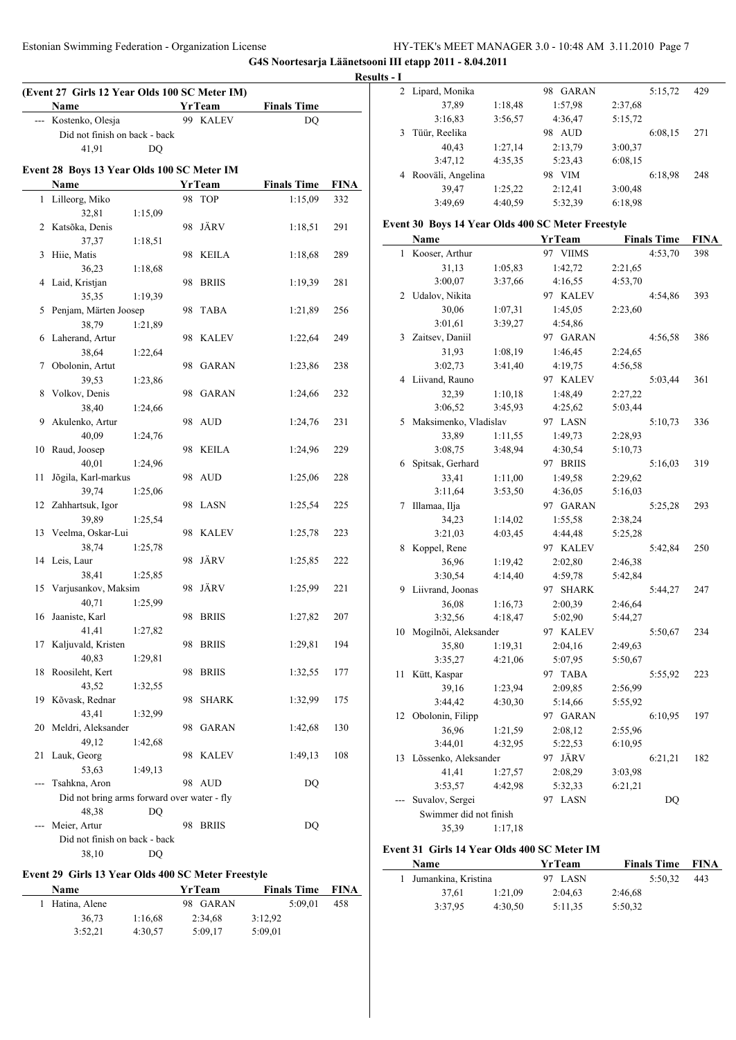Estonian Swimming Federation - Organization License HY-TEK's MEET MANAGER 3.0 - 10:48 AM 3.11.2010 Page 7

3:37,95 4:30,50 5:11,35 5:50,32

**G4S Noortesarja Läänetsooni III etapp 2011 - 8.04.2011**

|                                                    |               |                         |             | Results - I |                                                   |         |               |         |                    |             |
|----------------------------------------------------|---------------|-------------------------|-------------|-------------|---------------------------------------------------|---------|---------------|---------|--------------------|-------------|
| (Event 27 Girls 12 Year Olds 100 SC Meter IM)      |               |                         |             |             | 2 Lipard, Monika                                  |         | 98 GARAN      |         | 5:15,72            | 429         |
| Name                                               | <b>YrTeam</b> | <b>Finals Time</b>      |             |             | 37,89                                             | 1:18,48 | 1:57,98       | 2:37,68 |                    |             |
| --- Kostenko, Olesja                               | 99 KALEV      | <b>DQ</b>               |             |             | 3:16,83                                           | 3:56,57 | 4:36,47       | 5:15,72 |                    |             |
| Did not finish on back - back                      |               |                         |             |             | 3 Tüür, Reelika                                   |         | 98 AUD        |         | 6:08,15            | 271         |
| 41,91<br>DQ                                        |               |                         |             |             | 40,43                                             | 1:27,14 | 2:13,79       | 3:00,37 |                    |             |
| Event 28 Boys 13 Year Olds 100 SC Meter IM         |               |                         |             |             | 3:47,12                                           | 4:35,35 | 5:23,43       | 6:08,15 |                    |             |
| Name                                               | <b>YrTeam</b> | <b>Finals Time</b>      | <b>FINA</b> |             | 4 Rooväli, Angelina                               |         | 98 VIM        |         | 6:18,98            | 248         |
| 1 Lilleorg, Miko                                   | 98 TOP        | 1:15,09                 | 332         |             | 39,47                                             | 1:25,22 | 2:12,41       | 3:00,48 |                    |             |
| 32,81<br>1:15,09                                   |               |                         |             |             | 3:49,69                                           | 4:40,59 | 5:32,39       | 6:18,98 |                    |             |
| 2 Katsõka, Denis                                   | 98 JÄRV       | 1:18,51                 | 291         |             | Event 30 Boys 14 Year Olds 400 SC Meter Freestyle |         |               |         |                    |             |
| 1:18,51<br>37,37                                   |               |                         |             |             | Name                                              |         | <b>YrTeam</b> |         | <b>Finals Time</b> | <b>FINA</b> |
| 3 Hiie, Matis                                      | 98 KEILA      | 1:18,68                 | 289         |             | 1 Kooser, Arthur                                  |         | 97 VIIMS      |         | 4:53,70            | 398         |
| 36,23<br>1:18,68                                   |               |                         |             |             | 31,13                                             | 1:05,83 | 1:42,72       | 2:21,65 |                    |             |
| 4 Laid, Kristjan                                   | 98 BRIIS      | 1:19,39                 | 281         |             | 3:00,07                                           | 3:37,66 | 4:16,55       | 4:53,70 |                    |             |
| 35,35<br>1:19,39                                   |               |                         |             |             | 2 Udalov, Nikita                                  |         | 97 KALEV      |         | 4:54,86            | 393         |
| 5 Penjam, Märten Joosep                            | 98 TABA       | 1:21,89                 | 256         |             | 30,06                                             | 1:07,31 | 1:45,05       | 2:23,60 |                    |             |
| 38,79<br>1:21,89                                   |               |                         |             |             | 3:01,61                                           | 3:39,27 | 4:54,86       |         |                    |             |
| 6 Laherand, Artur                                  | 98 KALEV      | 1:22,64                 | 249         |             | 3 Zaitsev, Daniil                                 |         | 97 GARAN      |         | 4:56.58            | 386         |
| 38,64<br>1:22,64                                   |               |                         |             |             | 31,93                                             | 1:08,19 | 1:46,45       | 2:24,65 |                    |             |
| 7 Obolonin, Artut                                  | 98 GARAN      | 1:23,86                 | 238         |             | 3:02,73                                           | 3:41,40 | 4:19,75       | 4:56,58 |                    |             |
| 39,53<br>1:23,86                                   |               |                         |             |             | 4 Liivand, Rauno                                  |         | 97 KALEV      |         | 5:03,44            | 361         |
| 8 Volkov, Denis                                    | 98 GARAN      | 1:24,66                 | 232         |             | 32,39                                             | 1:10.18 | 1:48,49       | 2:27,22 |                    |             |
| 38,40<br>1:24,66                                   |               |                         |             |             | 3:06,52                                           | 3:45,93 | 4:25,62       | 5:03,44 |                    |             |
| 9 Akulenko, Artur                                  | 98 AUD        | 1:24,76                 | 231         |             | 5 Maksimenko, Vladislav                           |         | 97 LASN       |         | 5:10,73            | 336         |
| 40,09<br>1:24,76                                   |               |                         |             |             | 33,89                                             | 1:11,55 | 1:49,73       | 2:28,93 |                    |             |
| 10 Raud, Joosep                                    | 98 KEILA      | 1:24,96                 | 229         |             | 3:08,75                                           | 3:48,94 | 4:30,54       | 5:10,73 |                    |             |
| 40,01<br>1:24,96                                   |               |                         |             |             | 6 Spitsak, Gerhard                                |         | 97 BRIIS      |         | 5:16,03            | 319         |
| 11 Jõgila, Karl-markus                             | 98 AUD        | 1:25,06                 | 228         |             | 33,41                                             | 1:11,00 | 1:49,58       | 2:29,62 |                    |             |
| 39,74<br>1:25,06                                   |               |                         |             |             | 3:11,64                                           | 3:53,50 | 4:36,05       | 5:16,03 |                    |             |
| 12 Zahhartsuk, Igor                                | 98 LASN       | 1:25,54                 | 225         |             | 7 Illamaa, Ilja                                   |         | 97 GARAN      |         | 5:25,28            | 293         |
| 39,89<br>1:25,54                                   |               |                         |             |             | 34,23                                             | 1:14,02 | 1:55,58       | 2:38,24 |                    |             |
| 13 Veelma, Oskar-Lui                               | 98 KALEV      | 1:25,78                 | 223         |             | 3:21,03                                           | 4:03,45 | 4:44,48       | 5:25,28 |                    |             |
| 38,74<br>1:25,78                                   |               |                         |             |             | 8 Koppel, Rene                                    |         | 97 KALEV      |         | 5:42,84            | 250         |
| 14 Leis, Laur                                      | 98 JÄRV       | 1:25,85                 | 222         |             | 36,96                                             | 1:19,42 | 2:02,80       | 2:46,38 |                    |             |
| 38,41<br>1:25,85                                   |               |                         |             |             | 3:30,54                                           | 4:14,40 | 4:59,78       | 5:42,84 |                    |             |
| 15 Varjusankov, Maksim                             | 98 JÄRV       | 1:25,99                 | 221         |             | 9 Liivrand, Joonas                                |         | 97 SHARK      |         | 5:44,27            | 247         |
| 40,71<br>1:25,99                                   |               |                         |             |             | 36,08                                             | 1:16,73 | 2:00,39       | 2:46,64 |                    |             |
| 16 Jaaniste, Karl                                  | 98 BRIIS      | 1:27,82                 | 207         |             | 3:32,56                                           | 4:18,47 | 5:02,90       | 5:44,27 |                    |             |
| 41,41<br>1:27,82                                   |               |                         |             |             | 10 Mogilnõi, Aleksander                           |         | 97 KALEV      |         | 5:50,67            | 234         |
| 17 Kaljuvald, Kristen                              | 98 BRIIS      | 1:29,81                 | 194         |             | 35,80                                             | 1:19,31 | 2:04,16       | 2:49,63 |                    |             |
| 40,83<br>1:29,81                                   |               |                         |             |             | 3:35,27                                           | 4:21,06 | 5:07,95       | 5:50,67 |                    |             |
| 18 Roosileht, Kert                                 | 98 BRIIS      | 1:32,55                 | 177         |             | 11 Kütt, Kaspar                                   |         | 97 TABA       |         | 5:55,92            | 223         |
| 43,52<br>1:32,55<br>19 Kõvask, Rednar              | 98 SHARK      | 1:32,99                 | 175         |             | 39,16                                             | 1:23,94 | 2:09,85       | 2:56,99 |                    |             |
| 43,41<br>1:32,99                                   |               |                         |             |             | 3:44,42                                           | 4:30,30 | 5:14,66       | 5:55,92 |                    |             |
| 20 Meldri, Aleksander                              | 98 GARAN      | 1:42,68                 | 130         |             | 12 Obolonin, Filipp                               |         | 97 GARAN      |         | 6:10,95            | 197         |
| 49,12<br>1:42,68                                   |               |                         |             |             | 36,96                                             | 1:21,59 | 2:08,12       | 2:55,96 |                    |             |
| 21 Lauk, Georg                                     | 98 KALEV      | 1:49,13                 | 108         |             | 3:44,01                                           | 4:32,95 | 5:22,53       | 6:10,95 |                    |             |
| 53,63<br>1:49,13                                   |               |                         |             |             | 13 Lõssenko, Aleksander                           |         | 97 JÄRV       |         | 6:21,21            | 182         |
| --- Tsahkna, Aron                                  | 98 AUD        | DQ                      |             |             | 41,41                                             | 1:27,57 | 2:08,29       | 3:03,98 |                    |             |
| Did not bring arms forward over water - fly        |               |                         |             |             | 3:53,57                                           | 4:42,98 | 5:32,33       | 6:21,21 |                    |             |
| 48,38<br>DQ                                        |               |                         |             |             | --- Suvalov, Sergei                               |         | 97 LASN       |         | DQ                 |             |
| --- Meier, Artur                                   | 98 BRIIS      | DQ                      |             |             | Swimmer did not finish                            |         |               |         |                    |             |
| Did not finish on back - back                      |               |                         |             |             | 35,39                                             | 1:17,18 |               |         |                    |             |
| 38,10<br>DQ                                        |               |                         |             |             | Event 31 Girls 14 Year Olds 400 SC Meter IM       |         |               |         |                    |             |
|                                                    |               |                         |             |             | Name                                              |         | <b>YrTeam</b> |         | <b>Finals Time</b> | FINA        |
| Event 29 Girls 13 Year Olds 400 SC Meter Freestyle |               |                         |             |             | 1 Jumankina, Kristina                             |         | 97 LASN       |         | 5:50,32            | 443         |
| <b>Name</b>                                        | <b>YrTeam</b> | <b>Finals Time FINA</b> |             |             | 37,61                                             | 1:21,09 | 2:04,63       | 2:46,68 |                    |             |

| <b>Name</b>     |         | <b>YrTeam</b> | <b>Finals Time</b> | <b>FINA</b> |
|-----------------|---------|---------------|--------------------|-------------|
| 1 Hatina, Alene |         | 98 GARAN      | 5:09.01            | 458         |
| 36.73           | 1:16.68 | 2:34.68       | 3:12.92            |             |
| 3:52.21         | 4:30.57 | 5:09.17       | 5:09,01            |             |